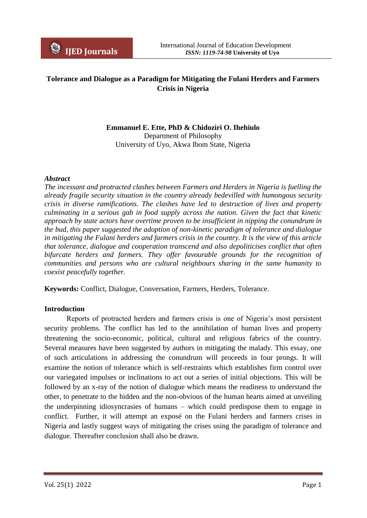

# **Tolerance and Dialogue as a Paradigm for Mitigating the Fulani Herders and Farmers Crisis in Nigeria**

**Emmanuel E. Ette, PhD & Chidoziri O. Ihehiulo** Department of Philosophy University of Uyo, Akwa Ibom State, Nigeria

#### *Abstract*

*The incessant and protracted clashes between Farmers and Herders in Nigeria is fuelling the already fragile security situation in the country already bedevilled with humongous security crisis in diverse ramifications. The clashes have led to destruction of lives and property culminating in a serious gab in food supply across the nation. Given the fact that kinetic approach by state actors have overtime proven to be insufficient in nipping the conundrum in the bud, this paper suggested the adoption of non-kinetic paradigm of tolerance and dialogue in mitigating the Fulani herders and farmers crisis in the country. It is the view of this article that tolerance, dialogue and cooperation transcend and also depoliticises conflict that often bifurcate herders and farmers. They offer favourable grounds for the recognition of communities and persons who are cultural neighbours sharing in the same humanity to coexist peacefully together.*

**Keywords:** Conflict, Dialogue, Conversation, Farmers, Herders, Tolerance.

#### **Introduction**

Reports of protracted herders and farmers crisis is one of Nigeria's most persistent security problems. The conflict has led to the annihilation of human lives and property threatening the socio-economic, political, cultural and religious fabrics of the country. Several measures have been suggested by authors in mitigating the malady. This essay, one of such articulations in addressing the conundrum will proceeds in four prongs. It will examine the notion of tolerance which is self-restraints which establishes firm control over our variegated impulses or inclinations to act out a series of initial objections. This will be followed by an x-ray of the notion of dialogue which means the readiness to understand the other, to penetrate to the hidden and the non-obvious of the human hearts aimed at unveiling the underpinning idiosyncrasies of humans – which could predispose them to engage in conflict. Further, it will attempt an exposé on the Fulani herders and farmers crises in Nigeria and lastly suggest ways of mitigating the crises using the paradigm of tolerance and dialogue. Thereafter conclusion shall also be drawn.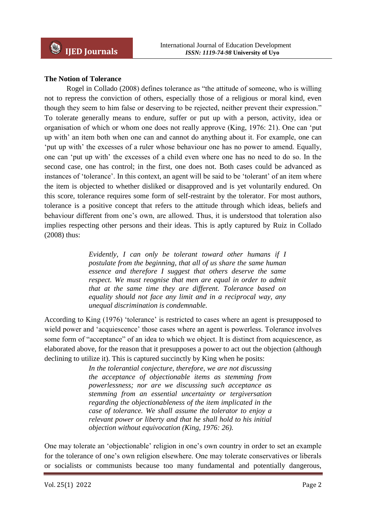## **The Notion of Tolerance**

Rogel in Collado (2008) defines tolerance as "the attitude of someone, who is willing not to repress the conviction of others, especially those of a religious or moral kind, even though they seem to him false or deserving to be rejected, neither prevent their expression." To tolerate generally means to endure, suffer or put up with a person, activity, idea or organisation of which or whom one does not really approve (King, 1976: 21). One can "put up with" an item both when one can and cannot do anything about it. For example, one can "put up with" the excesses of a ruler whose behaviour one has no power to amend. Equally, one can "put up with" the excesses of a child even where one has no need to do so. In the second case, one has control; in the first, one does not. Both cases could be advanced as instances of 'tolerance'. In this context, an agent will be said to be 'tolerant' of an item where the item is objected to whether disliked or disapproved and is yet voluntarily endured. On this score, tolerance requires some form of self-restraint by the tolerator. For most authors, tolerance is a positive concept that refers to the attitude through which ideas, beliefs and behaviour different from one's own, are allowed. Thus, it is understood that toleration also implies respecting other persons and their ideas. This is aptly captured by Ruiz in Collado (2008) thus:

> *Evidently, I can only be tolerant toward other humans if I postulate from the beginning, that all of us share the same human essence and therefore I suggest that others deserve the same respect. We must reognise that men are equal in order to admit that at the same time they are different. Tolerance based on equality should not face any limit and in a reciprocal way, any unequal discrimination is condemnable.*

According to King (1976) 'tolerance' is restricted to cases where an agent is presupposed to wield power and 'acquiescence' those cases where an agent is powerless. Tolerance involves some form of "acceptance" of an idea to which we object. It is distinct from acquiescence, as elaborated above, for the reason that it presupposes a power to act out the objection (although declining to utilize it). This is captured succinctly by King when he posits:

> *In the tolerantial conjecture, therefore, we are not discussing the acceptance of objectionable items as stemming from powerlessness; nor are we discussing such acceptance as stemming from an essential uncertainty or tergiversation regarding the objectionableness of the item implicated in the case of tolerance. We shall assume the tolerator to enjoy a relevant power or liberty and that he shall hold to his initial objection without equivocation (King, 1976: 26).*

One may tolerate an "objectionable" religion in one"s own country in order to set an example for the tolerance of one"s own religion elsewhere. One may tolerate conservatives or liberals or socialists or communists because too many fundamental and potentially dangerous,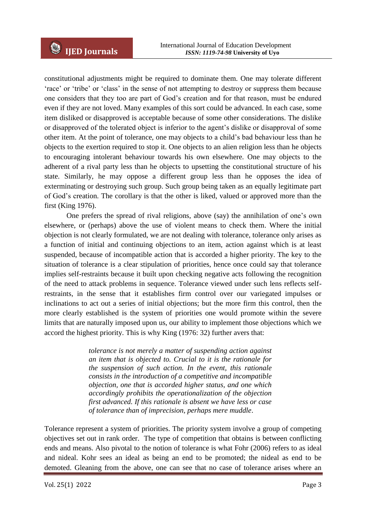constitutional adjustments might be required to dominate them. One may tolerate different "race" or "tribe" or "class" in the sense of not attempting to destroy or suppress them because one considers that they too are part of God"s creation and for that reason, must be endured even if they are not loved. Many examples of this sort could be advanced. In each case, some item disliked or disapproved is acceptable because of some other considerations. The dislike or disapproved of the tolerated object is inferior to the agent"s dislike or disapproval of some other item. At the point of tolerance, one may objects to a child"s bad behaviour less than he objects to the exertion required to stop it. One objects to an alien religion less than he objects to encouraging intolerant behaviour towards his own elsewhere. One may objects to the adherent of a rival party less than he objects to upsetting the constitutional structure of his state. Similarly, he may oppose a different group less than he opposes the idea of exterminating or destroying such group. Such group being taken as an equally legitimate part of God"s creation. The corollary is that the other is liked, valued or approved more than the first (King 1976).

One prefers the spread of rival religions, above (say) the annihilation of one"s own elsewhere, or (perhaps) above the use of violent means to check them. Where the initial objection is not clearly formulated, we are not dealing with tolerance, tolerance only arises as a function of initial and continuing objections to an item, action against which is at least suspended, because of incompatible action that is accorded a higher priority. The key to the situation of tolerance is a clear stipulation of priorities, hence once could say that tolerance implies self-restraints because it built upon checking negative acts following the recognition of the need to attack problems in sequence. Tolerance viewed under such lens reflects selfrestraints, in the sense that it establishes firm control over our variegated impulses or inclinations to act out a series of initial objections; but the more firm this control, then the more clearly established is the system of priorities one would promote within the severe limits that are naturally imposed upon us, our ability to implement those objections which we accord the highest priority. This is why King (1976: 32) further avers that:

> *tolerance is not merely a matter of suspending action against an item that is objected to. Crucial to it is the rationale for the suspension of such action. In the event, this rationale consists in the introduction of a competitive and incompatible objection, one that is accorded higher status, and one which accordingly prohibits the operationalization of the objection first advanced. If this rationale is absent we have less or case of tolerance than of imprecision, perhaps mere muddle*.

Tolerance represent a system of priorities. The priority system involve a group of competing objectives set out in rank order. The type of competition that obtains is between conflicting ends and means. Also pivotal to the notion of tolerance is what Fohr (2006) refers to as ideal and nideal. Kohr sees an ideal as being an end to be promoted; the nideal as end to be demoted. Gleaning from the above, one can see that no case of tolerance arises where an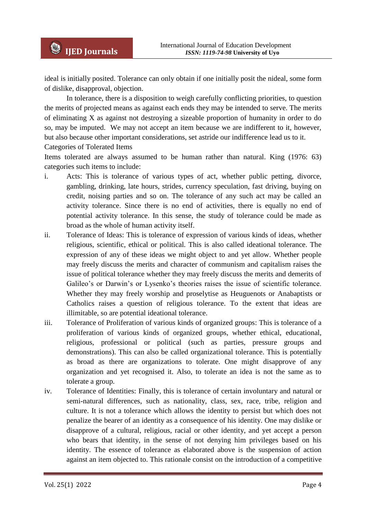ideal is initially posited. Tolerance can only obtain if one initially posit the nideal, some form of dislike, disapproval, objection.

In tolerance, there is a disposition to weigh carefully conflicting priorities, to question the merits of projected means as against each ends they may be intended to serve. The merits of eliminating X as against not destroying a sizeable proportion of humanity in order to do so, may be imputed. We may not accept an item because we are indifferent to it, however, but also because other important considerations, set astride our indifference lead us to it. Categories of Tolerated Items

Items tolerated are always assumed to be human rather than natural. King (1976: 63) categories such items to include:

- i. Acts: This is tolerance of various types of act, whether public petting, divorce, gambling, drinking, late hours, strides, currency speculation, fast driving, buying on credit, noising parties and so on. The tolerance of any such act may be called an activity tolerance. Since there is no end of activities, there is equally no end of potential activity tolerance. In this sense, the study of tolerance could be made as broad as the whole of human activity itself.
- ii. Tolerance of Ideas: This is tolerance of expression of various kinds of ideas, whether religious, scientific, ethical or political. This is also called ideational tolerance. The expression of any of these ideas we might object to and yet allow. Whether people may freely discuss the merits and character of communism and capitalism raises the issue of political tolerance whether they may freely discuss the merits and demerits of Galileo's or Darwin's or Lysenko's theories raises the issue of scientific tolerance. Whether they may freely worship and proselytise as Heuguenots or Anabaptists or Catholics raises a question of religious tolerance. To the extent that ideas are illimitable, so are potential ideational tolerance.
- iii. Tolerance of Proliferation of various kinds of organized groups: This is tolerance of a proliferation of various kinds of organized groups, whether ethical, educational, religious, professional or political (such as parties, pressure groups and demonstrations). This can also be called organizational tolerance. This is potentially as broad as there are organizations to tolerate. One might disapprove of any organization and yet recognised it. Also, to tolerate an idea is not the same as to tolerate a group.
- iv. Tolerance of Identities: Finally, this is tolerance of certain involuntary and natural or semi-natural differences, such as nationality, class, sex, race, tribe, religion and culture. It is not a tolerance which allows the identity to persist but which does not penalize the bearer of an identity as a consequence of his identity. One may dislike or disapprove of a cultural, religious, racial or other identity, and yet accept a person who bears that identity, in the sense of not denying him privileges based on his identity. The essence of tolerance as elaborated above is the suspension of action against an item objected to. This rationale consist on the introduction of a competitive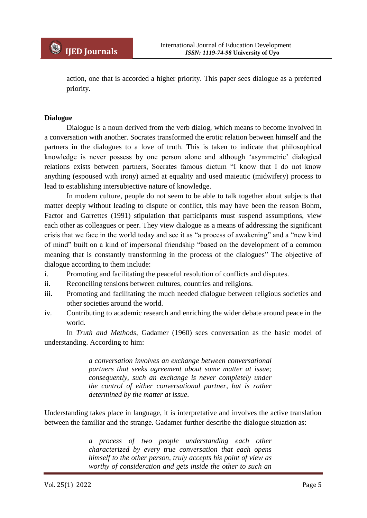action, one that is accorded a higher priority. This paper sees dialogue as a preferred priority.

#### **Dialogue**

Dialogue is a noun derived from the verb dialog, which means to become involved in a conversation with another. Socrates transformed the erotic relation between himself and the partners in the dialogues to a love of truth. This is taken to indicate that philosophical knowledge is never possess by one person alone and although "asymmetric" dialogical relations exists between partners, Socrates famous dictum "I know that I do not know anything (espoused with irony) aimed at equality and used maieutic (midwifery) process to lead to establishing intersubjective nature of knowledge.

In modern culture, people do not seem to be able to talk together about subjects that matter deeply without leading to dispute or conflict, this may have been the reason Bohm, Factor and Garrettes (1991) stipulation that participants must suspend assumptions, view each other as colleagues or peer. They view dialogue as a means of addressing the significant crisis that we face in the world today and see it as "a process of awakening" and a "new kind of mind" built on a kind of impersonal friendship "based on the development of a common meaning that is constantly transforming in the process of the dialogues" The objective of dialogue according to them include:

- i. Promoting and facilitating the peaceful resolution of conflicts and disputes.
- ii. Reconciling tensions between cultures, countries and religions.
- iii. Promoting and facilitating the much needed dialogue between religious societies and other societies around the world.
- iv. Contributing to academic research and enriching the wider debate around peace in the world.

In *Truth and Methods*, Gadamer (1960) sees conversation as the basic model of understanding. According to him:

> *a conversation involves an exchange between conversational partners that seeks agreement about some matter at issue; consequently, such an exchange is never completely under the control of either conversational partner, but is rather determined by the matter at issue*.

Understanding takes place in language, it is interpretative and involves the active translation between the familiar and the strange. Gadamer further describe the dialogue situation as:

> *a process of two people understanding each other characterized by every true conversation that each opens himself to the other person, truly accepts his point of view as worthy of consideration and gets inside the other to such an*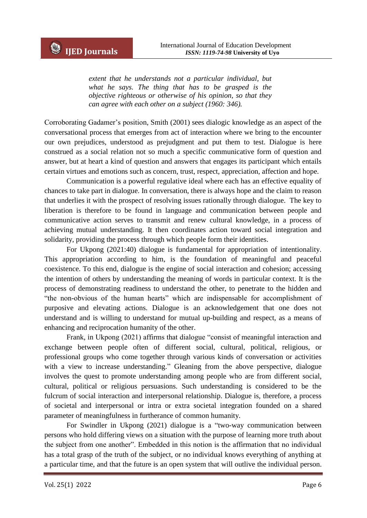*extent that he understands not a particular individual, but what he says. The thing that has to be grasped is the objective righteous or otherwise of his opinion, so that they can agree with each other on a subject (1960: 346).*

Corroborating Gadamer"s position, Smith (2001) sees dialogic knowledge as an aspect of the conversational process that emerges from act of interaction where we bring to the encounter our own prejudices, understood as prejudgment and put them to test. Dialogue is here construed as a social relation not so much a specific communicative form of question and answer, but at heart a kind of question and answers that engages its participant which entails certain virtues and emotions such as concern, trust, respect, appreciation, affection and hope.

Communication is a powerful regulative ideal where each has an effective equality of chances to take part in dialogue. In conversation, there is always hope and the claim to reason that underlies it with the prospect of resolving issues rationally through dialogue. The key to liberation is therefore to be found in language and communication between people and communicative action serves to transmit and renew cultural knowledge, in a process of achieving mutual understanding. It then coordinates action toward social integration and solidarity, providing the process through which people form their identities.

For Ukpong (2021:40) dialogue is fundamental for appropriation of intentionality. This appropriation according to him, is the foundation of meaningful and peaceful coexistence. To this end, dialogue is the engine of social interaction and cohesion; accessing the intention of others by understanding the meaning of words in particular context. It is the process of demonstrating readiness to understand the other, to penetrate to the hidden and "the non-obvious of the human hearts" which are indispensable for accomplishment of purposive and elevating actions. Dialogue is an acknowledgement that one does not understand and is willing to understand for mutual up-building and respect, as a means of enhancing and reciprocation humanity of the other.

Frank, in Ukpong (2021) affirms that dialogue "consist of meaningful interaction and exchange between people often of different social, cultural, political, religious, or professional groups who come together through various kinds of conversation or activities with a view to increase understanding." Gleaning from the above perspective, dialogue involves the quest to promote understanding among people who are from different social, cultural, political or religious persuasions. Such understanding is considered to be the fulcrum of social interaction and interpersonal relationship. Dialogue is, therefore, a process of societal and interpersonal or intra or extra societal integration founded on a shared parameter of meaningfulness in furtherance of common humanity.

For Swindler in Ukpong (2021) dialogue is a "two-way communication between persons who hold differing views on a situation with the purpose of learning more truth about the subject from one another". Embedded in this notion is the affirmation that no individual has a total grasp of the truth of the subject, or no individual knows everything of anything at a particular time, and that the future is an open system that will outlive the individual person.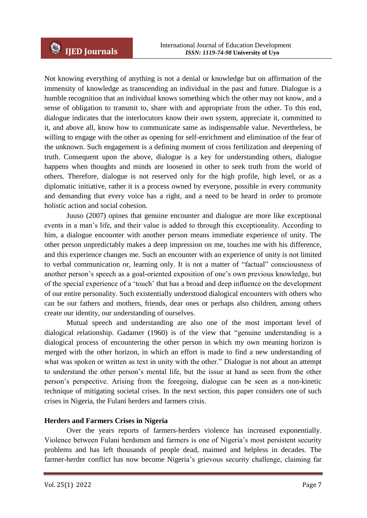Not knowing everything of anything is not a denial or knowledge but on affirmation of the immensity of knowledge as transcending an individual in the past and future. Dialogue is a humble recognition that an individual knows something which the other may not know, and a sense of obligation to transmit to, share with and appropriate from the other. To this end, dialogue indicates that the interlocutors know their own system, appreciate it, committed to it, and above all, know how to communicate same as indispensable value. Nevertheless, be willing to engage with the other as opening for self-enrichment and elimination of the fear of the unknown. Such engagement is a defining moment of cross fertilization and deepening of truth. Consequent upon the above, dialogue is a key for understanding others, dialogue happens when thoughts and minds are loosened in other to seek truth from the world of others. Therefore, dialogue is not reserved only for the high profile, high level, or as a diplomatic initiative, rather it is a process owned by everyone, possible in every community and demanding that every voice has a right, and a need to be heard in order to promote holistic action and social cohesion.

Juuso (2007) opines that genuine encounter and dialogue are more like exceptional events in a man"s life, and their value is added to through this exceptionality. According to him, a dialogue encounter with another person means immediate experience of unity. The other person unpredictably makes a deep impression on me, touches me with his difference, and this experience changes me. Such an encounter with an experience of unity is not limited to verbal communication or, learning only. It is not a matter of "factual" consciousness of another person"s speech as a goal-oriented exposition of one"s own previous knowledge, but of the special experience of a "touch" that has a broad and deep influence on the development of our entire personality. Such existentially understood dialogical encounters with others who can be our fathers and mothers, friends, dear ones or perhaps also children, among others create our identity, our understanding of ourselves.

Mutual speech and understanding are also one of the most important level of dialogical relationship. Gadamer (1960) is of the view that "genuine understanding is a dialogical process of encountering the other person in which my own meaning horizon is merged with the other horizon, in which an effort is made to find a new understanding of what was spoken or written as text in unity with the other." Dialogue is not about an attempt to understand the other person"s mental life, but the issue at hand as seen from the other person"s perspective. Arising from the foregoing, dialogue can be seen as a non-kinetic technique of mitigating societal crises. In the next section, this paper considers one of such crises in Nigeria, the Fulani herders and farmers crisis.

### **Herders and Farmers Crises in Nigeria**

Over the years reports of farmers-herders violence has increased exponentially. Violence between Fulani herdsmen and farmers is one of Nigeria's most persistent security problems and has left thousands of people dead, maimed and helpless in decades. The farmer-herder conflict has now become Nigeria"s grievous security challenge, claiming far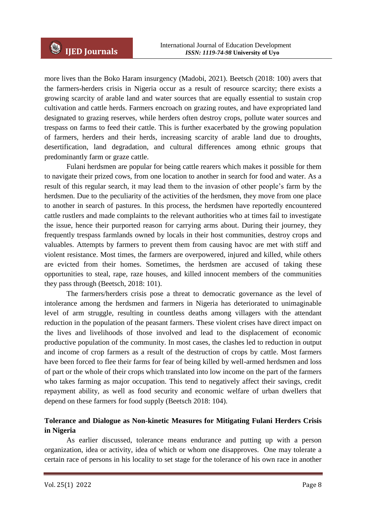more lives than the Boko Haram insurgency (Madobi, 2021). Beetsch (2018: 100) avers that the farmers-herders crisis in Nigeria occur as a result of resource scarcity; there exists a growing scarcity of arable land and water sources that are equally essential to sustain crop cultivation and cattle herds. Farmers encroach on grazing routes, and have expropriated land designated to grazing reserves, while herders often destroy crops, pollute water sources and trespass on farms to feed their cattle. This is further exacerbated by the growing population of farmers, herders and their herds, increasing scarcity of arable land due to droughts, desertification, land degradation, and cultural differences among ethnic groups that predominantly farm or graze cattle.

Fulani herdsmen are popular for being cattle rearers which makes it possible for them to navigate their prized cows, from one location to another in search for food and water. As a result of this regular search, it may lead them to the invasion of other people"s farm by the herdsmen. Due to the peculiarity of the activities of the herdsmen, they move from one place to another in search of pastures. In this process, the herdsmen have reportedly encountered cattle rustlers and made complaints to the relevant authorities who at times fail to investigate the issue, hence their purported reason for carrying arms about. During their journey, they frequently trespass farmlands owned by locals in their host communities, destroy crops and valuables. Attempts by farmers to prevent them from causing havoc are met with stiff and violent resistance. Most times, the farmers are overpowered, injured and killed, while others are evicted from their homes. Sometimes, the herdsmen are accused of taking these opportunities to steal, rape, raze houses, and killed innocent members of the communities they pass through (Beetsch, 2018: 101).

The farmers/herders crisis pose a threat to democratic governance as the level of intolerance among the herdsmen and farmers in Nigeria has deteriorated to unimaginable level of arm struggle, resulting in countless deaths among villagers with the attendant reduction in the population of the peasant farmers. These violent crises have direct impact on the lives and livelihoods of those involved and lead to the displacement of economic productive population of the community. In most cases, the clashes led to reduction in output and income of crop farmers as a result of the destruction of crops by cattle. Most farmers have been forced to flee their farms for fear of being killed by well-armed herdsmen and loss of part or the whole of their crops which translated into low income on the part of the farmers who takes farming as major occupation. This tend to negatively affect their savings, credit repayment ability, as well as food security and economic welfare of urban dwellers that depend on these farmers for food supply (Beetsch 2018: 104).

# **Tolerance and Dialogue as Non-kinetic Measures for Mitigating Fulani Herders Crisis in Nigeria**

As earlier discussed, tolerance means endurance and putting up with a person organization, idea or activity, idea of which or whom one disapproves. One may tolerate a certain race of persons in his locality to set stage for the tolerance of his own race in another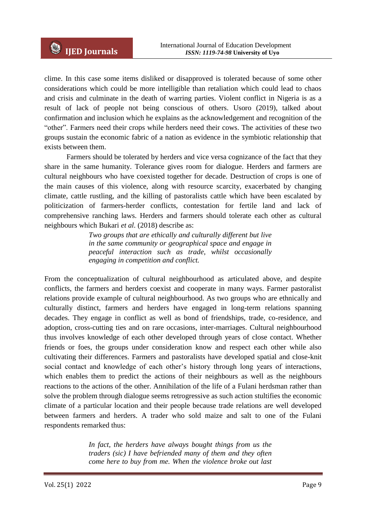clime. In this case some items disliked or disapproved is tolerated because of some other considerations which could be more intelligible than retaliation which could lead to chaos and crisis and culminate in the death of warring parties. Violent conflict in Nigeria is as a result of lack of people not being conscious of others. Usoro (2019), talked about confirmation and inclusion which he explains as the acknowledgement and recognition of the "other". Farmers need their crops while herders need their cows. The activities of these two groups sustain the economic fabric of a nation as evidence in the symbiotic relationship that exists between them.

Farmers should be tolerated by herders and vice versa cognizance of the fact that they share in the same humanity. Tolerance gives room for dialogue. Herders and farmers are cultural neighbours who have coexisted together for decade. Destruction of crops is one of the main causes of this violence, along with resource scarcity, exacerbated by changing climate, cattle rustling, and the killing of pastoralists cattle which have been escalated by politicization of farmers-herder conflicts, contestation for fertile land and lack of comprehensive ranching laws. Herders and farmers should tolerate each other as cultural neighbours which Bukari *et al.* (2018) describe as:

> *Two groups that are ethically and culturally different but live in the same community or geographical space and engage in peaceful interaction such as trade, whilst occasionally engaging in competition and conflict.*

From the conceptualization of cultural neighbourhood as articulated above, and despite conflicts, the farmers and herders coexist and cooperate in many ways. Farmer pastoralist relations provide example of cultural neighbourhood. As two groups who are ethnically and culturally distinct, farmers and herders have engaged in long-term relations spanning decades. They engage in conflict as well as bond of friendships, trade, co-residence, and adoption, cross-cutting ties and on rare occasions, inter-marriages. Cultural neighbourhood thus involves knowledge of each other developed through years of close contact. Whether friends or foes, the groups under consideration know and respect each other while also cultivating their differences. Farmers and pastoralists have developed spatial and close-knit social contact and knowledge of each other's history through long years of interactions, which enables them to predict the actions of their neighbours as well as the neighbours reactions to the actions of the other. Annihilation of the life of a Fulani herdsman rather than solve the problem through dialogue seems retrogressive as such action stultifies the economic climate of a particular location and their people because trade relations are well developed between farmers and herders. A trader who sold maize and salt to one of the Fulani respondents remarked thus:

> *In fact, the herders have always bought things from us the traders (sic) I have befriended many of them and they often come here to buy from me. When the violence broke out last*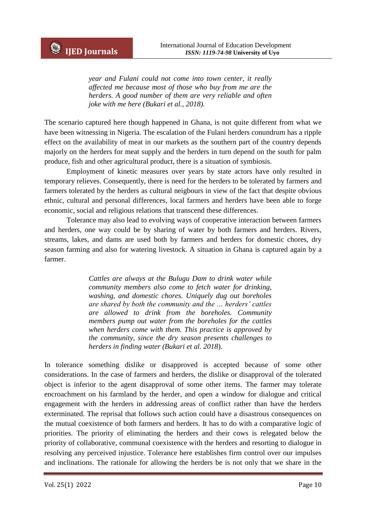*year and Fulani could not come into town center, it really affected me because most of those who buy from me are the herders. A good number of them are very reliable and often joke with me here (Bukari et al., 2018).* 

The scenario captured here though happened in Ghana, is not quite different from what we have been witnessing in Nigeria. The escalation of the Fulani herders conundrum has a ripple effect on the availability of meat in our markets as the southern part of the country depends majorly on the herders for meat supply and the herders in turn depend on the south for palm produce, fish and other agricultural product, there is a situation of symbiosis.

Employment of kinetic measures over years by state actors have only resulted in temporary relieves. Consequently, there is need for the herders to be tolerated by farmers and farmers tolerated by the herders as cultural neigbours in view of the fact that despite obvious ethnic, cultural and personal differences, local farmers and herders have been able to forge economic, social and religious relations that transcend these differences.

Tolerance may also lead to evolving ways of cooperative interaction between farmers and herders, one way could be by sharing of water by both farmers and herders. Rivers, streams, lakes, and dams are used both by farmers and herders for domestic chores, dry season farming and also for watering livestock. A situation in Ghana is captured again by a farmer.

> *Cattles are always at the Bulugu Dam to drink water while community members also come to fetch water for drinking, washing, and domestic chores. Uniquely dug out boreholes are shared by both the community and the … herders' cattles are allowed to drink from the boreholes. Community members pump out water from the boreholes for the cattles when herders come with them. This practice is approved by the community, since the dry season presents challenges to herders in finding water (Bukari et al. 2018*).

In tolerance something dislike or disapproved is accepted because of some other considerations. In the case of farmers and herders, the dislike or disapproval of the tolerated object is inferior to the agent disapproval of some other items. The farmer may tolerate encroachment on his farmland by the herder, and open a window for dialogue and critical engagement with the herders in addressing areas of conflict rather than have the herders exterminated. The reprisal that follows such action could have a disastrous consequences on the mutual coexistence of both farmers and herders. It has to do with a comparative logic of priorities. The priority of eliminating the herders and their cows is relegated below the priority of collaborative, communal coexistence with the herders and resorting to dialogue in resolving any perceived injustice. Tolerance here establishes firm control over our impulses and inclinations. The rationale for allowing the herders be is not only that we share in the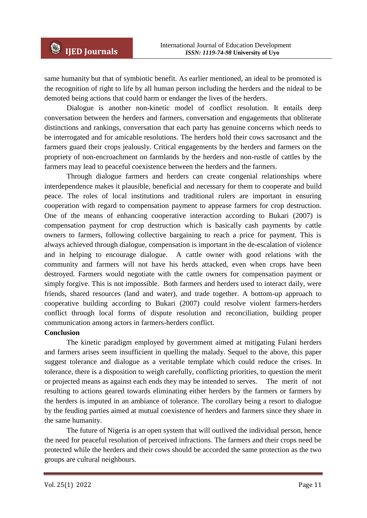same humanity but that of symbiotic benefit. As earlier mentioned, an ideal to be promoted is the recognition of right to life by all human person including the herders and the nideal to be demoted being actions that could harm or endanger the lives of the herders.

Dialogue is another non-kinetic model of conflict resolution. It entails deep conversation between the herders and farmers, conversation and engagements that obliterate distinctions and rankings, conversation that each party has genuine concerns which needs to be interrogated and for amicable resolutions. The herders hold their cows sacrosanct and the farmers guard their crops jealously. Critical engagements by the herders and farmers on the propriety of non-encroachment on farmlands by the herders and non-rustle of cattles by the farmers may lead to peaceful coexistence between the herders and the farmers.

Through dialogue farmers and herders can create congenial relationships where interdependence makes it plausible, beneficial and necessary for them to cooperate and build peace. The roles of local institutions and traditional rulers are important in ensuring cooperation with regard to compensation payment to appease farmers for crop destruction. One of the means of enhancing cooperative interaction according to Bukari (2007) is compensation payment for crop destruction which is basically cash payments by cattle owners to farmers, following collective bargaining to reach a price for payment. This is always achieved through dialogue, compensation is important in the de-escalation of violence and in helping to encourage dialogue. A cattle owner with good relations with the community and farmers will not have his herds attacked, even when crops have been destroyed. Farmers would negotiate with the cattle owners for compensation payment or simply forgive. This is not impossible. Both farmers and herders used to interact daily, were friends, shared resources (land and water), and trade together. A bottom-up approach to cooperative building according to Bukari (2007) could resolve violent farmers-herders conflict through local forms of dispute resolution and reconciliation, building proper communication among actors in farmers-herders conflict.

### **Conclusion**

The kinetic paradigm employed by government aimed at mitigating Fulani herders and farmers arises seem insufficient in quelling the malady. Sequel to the above, this paper suggest tolerance and dialogue as a veritable template which could reduce the crises. In tolerance, there is a disposition to weigh carefully, conflicting priorities, to question the merit or projected means as against each ends they may be intended to serves. The merit of not resulting to actions geared towards eliminating either herders by the farmers or farmers by the herders is imputed in an ambiance of tolerance. The corollary being a resort to dialogue by the feuding parties aimed at mutual coexistence of herders and farmers since they share in the same humanity.

The future of Nigeria is an open system that will outlived the individual person, hence the need for peaceful resolution of perceived infractions. The farmers and their crops need be protected while the herders and their cows should be accorded the same protection as the two groups are cultural neighbours.